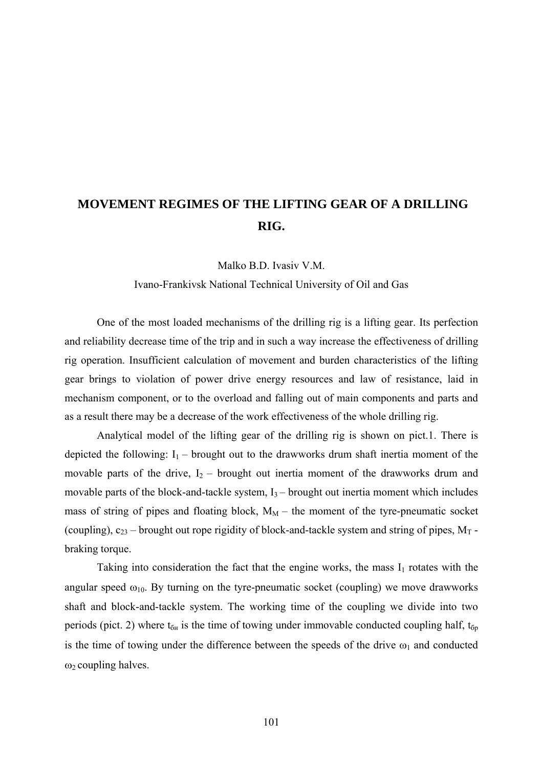## **MOVEMENT REGIMES OF THE LIFTING GEAR OF A DRILLING RIG.**

Malko B.D. Ivasiv V.M.

Ivano-Frankivsk National Technical University of Oil and Gas

 One of the most loaded mechanisms of the drilling rig is a lifting gear. Its perfection and reliability decrease time of the trip and in such a way increase the effectiveness of drilling rig operation. Insufficient calculation of movement and burden characteristics of the lifting gear brings to violation of power drive energy resources and law of resistance, laid in mechanism component, or to the overload and falling out of main components and parts and as a result there may be a decrease of the work effectiveness of the whole drilling rig.

 Analytical model of the lifting gear of the drilling rig is shown on pict.1. There is depicted the following:  $I_1$  – brought out to the drawworks drum shaft inertia moment of the movable parts of the drive,  $I_2$  – brought out inertia moment of the drawworks drum and movable parts of the block-and-tackle system,  $I_3$  – brought out inertia moment which includes mass of string of pipes and floating block,  $M_M$  – the moment of the tyre-pneumatic socket (coupling),  $c_{23}$  – brought out rope rigidity of block-and-tackle system and string of pipes,  $M_T$  braking torque.

Taking into consideration the fact that the engine works, the mass  $I_1$  rotates with the angular speed  $\omega_{10}$ . By turning on the tyre-pneumatic socket (coupling) we move drawworks shaft and block-and-tackle system. The working time of the coupling we divide into two periods (pict. 2) where  $t_{6H}$  is the time of towing under immovable conducted coupling half,  $t_{6p}$ is the time of towing under the difference between the speeds of the drive  $\omega_1$  and conducted  $ω<sub>2</sub>$  coupling halves.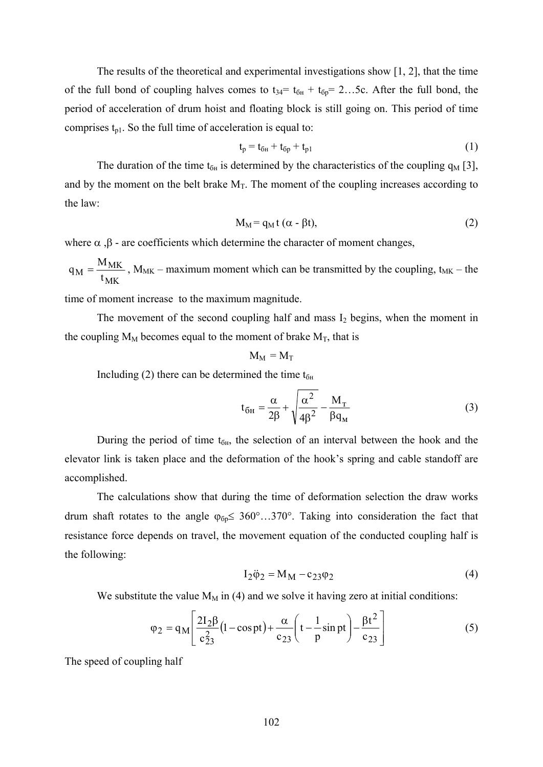The results of the theoretical and experimental investigations show [1, 2], that the time of the full bond of coupling halves comes to  $t_{34} = t_{6H} + t_{6p} = 2...5c$ . After the full bond, the period of acceleration of drum hoist and floating block is still going on. This period of time comprises  $t_{p1}$ . So the full time of acceleration is equal to:

$$
t_p = t_{6H} + t_{6p} + t_{p1}
$$
 (1)

The duration of the time  $t_{6H}$  is determined by the characteristics of the coupling  $q_M$  [3], and by the moment on the belt brake  $M_T$ . The moment of the coupling increases according to the law:

$$
M_M = q_M t (\alpha - \beta t), \qquad (2)
$$

where  $\alpha$ ,  $\beta$  - are coefficients which determine the character of moment changes,

MK  $M = \frac{M_M}{t_M}$  $q_M = \frac{M_{MK}}{M_{MK}}$ ,  $M_{MK}$  – maximum moment which can be transmitted by the coupling, t<sub>MK</sub> – the

time of moment increase to the maximum magnitude.

The movement of the second coupling half and mass  $I_2$  begins, when the moment in the coupling  $M_M$  becomes equal to the moment of brake  $M_T$ , that is

$$
M_M=M_T
$$

Including (2) there can be determined the time  $t_{6H}$ 

$$
t_{\tilde{O}H} = \frac{\alpha}{2\beta} + \sqrt{\frac{\alpha^2}{4\beta^2} - \frac{M_T}{\beta q_M}}
$$
 (3)

During the period of time  $t_{6H}$ , the selection of an interval between the hook and the elevator link is taken place and the deformation of the hook's spring and cable standoff are accomplished.

 The calculations show that during the time of deformation selection the draw works drum shaft rotates to the angle  $\varphi_{6p} \leq 360^{\circ}$ .  $.370^{\circ}$ . Taking into consideration the fact that resistance force depends on travel, the movement equation of the conducted coupling half is the following:

$$
I_2 \ddot{\varphi}_2 = M_M - c_{23} \varphi_2 \tag{4}
$$

We substitute the value  $M_M$  in (4) and we solve it having zero at initial conditions:

$$
\varphi_2 = q_M \left[ \frac{2I_2 \beta}{c_{23}^2} (1 - \cos pt) + \frac{\alpha}{c_{23}} \left( t - \frac{1}{p} \sin pt \right) - \frac{\beta t^2}{c_{23}} \right]
$$
(5)

The speed of coupling half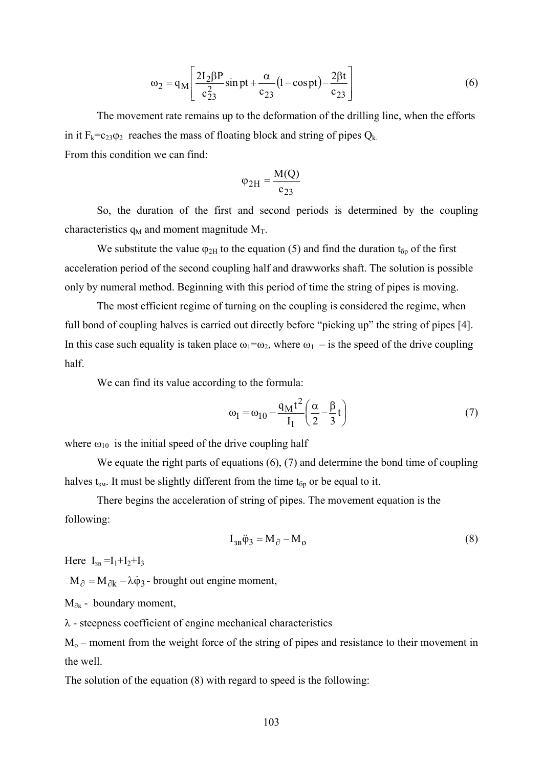$$
\omega_2 = q_M \left[ \frac{2I_2 \beta P}{c_{23}^2} \sin pt + \frac{\alpha}{c_{23}} (1 - \cos pt) - \frac{2\beta t}{c_{23}} \right]
$$
(6)

 The movement rate remains up to the deformation of the drilling line, when the efforts in it  $F_k = c_{23}\varphi_2$  reaches the mass of floating block and string of pipes  $Q_k$ . From this condition we can find:

$$
\varphi_{2H} = \frac{M(Q)}{c_{23}}
$$

 So, the duration of the first and second periods is determined by the coupling characteristics  $q_M$  and moment magnitude  $M_T$ .

We substitute the value  $\varphi_{2H}$  to the equation (5) and find the duration  $t_{6p}$  of the first acceleration period of the second coupling half and drawworks shaft. The solution is possible only by numeral method. Beginning with this period of time the string of pipes is moving.

 The most efficient regime of turning on the coupling is considered the regime, when full bond of coupling halves is carried out directly before "picking up" the string of pipes [4]. In this case such equality is taken place  $\omega_1 = \omega_2$ , where  $\omega_1$  – is the speed of the drive coupling half.

We can find its value according to the formula:

$$
\omega_1 = \omega_{10} - \frac{q_M t^2}{I_1} \left(\frac{\alpha}{2} - \frac{\beta}{3} t\right)
$$
 (7)

where  $\omega_{10}$  is the initial speed of the drive coupling half

We equate the right parts of equations  $(6)$ ,  $(7)$  and determine the bond time of coupling halves  $t_{3M}$ . It must be slightly different from the time  $t_{6p}$  or be equal to it.

 There begins the acceleration of string of pipes. The movement equation is the following:

$$
I_{3B}\ddot{\varphi}_3 = M_{\partial} - M_0 \tag{8}
$$

Here  $I_{3B} = I_1 + I_2 + I_3$ 

 $M_{\partial} = M_{\partial k} - \lambda \dot{\varphi}_3$  - brought out engine moment,

 $M_{\partial x}$  - boundary moment.

 $\lambda$  - steepness coefficient of engine mechanical characteristics

 $M<sub>o</sub>$  – moment from the weight force of the string of pipes and resistance to their movement in the well.

The solution of the equation (8) with regard to speed is the following: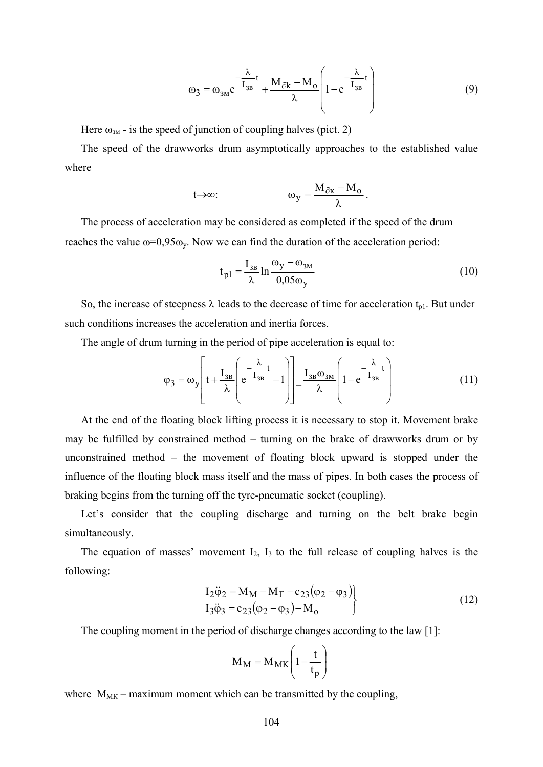$$
\omega_3 = \omega_{3M} e^{-\frac{\lambda}{I_{3B}}t} + \frac{M_{\partial k} - M_o}{\lambda} \left( 1 - e^{-\frac{\lambda}{I_{3B}}t} \right)
$$
(9)

Here  $\omega_{3M}$  - is the speed of junction of coupling halves (pict. 2)

The speed of the drawworks drum asymptotically approaches to the established value where

$$
t{\rightarrow}\infty\text{:}\qquad \qquad \omega_y=\frac{M_{\partial\kappa}-M_o}{\lambda}\,.
$$

The process of acceleration may be considered as completed if the speed of the drum reaches the value  $\omega=0.95\omega_v$ . Now we can find the duration of the acceleration period:

$$
t_{\rm pl} = \frac{I_{\rm 3B}}{\lambda} \ln \frac{\omega_{\rm y} - \omega_{\rm 3M}}{0.05 \omega_{\rm y}}
$$
 (10)

So, the increase of steepness  $\lambda$  leads to the decrease of time for acceleration  $t_{p1}$ . But under such conditions increases the acceleration and inertia forces.

The angle of drum turning in the period of pipe acceleration is equal to:

$$
\varphi_3 = \omega_y \left[ t + \frac{I_{3B}}{\lambda} \left( e^{-\frac{\lambda}{I_{3B}}t} - 1 \right) \right] - \frac{I_{3B}\omega_{3M}}{\lambda} \left( 1 - e^{-\frac{\lambda}{I_{3B}}t} \right) \tag{11}
$$

At the end of the floating block lifting process it is necessary to stop it. Movement brake may be fulfilled by constrained method – turning on the brake of drawworks drum or by unconstrained method – the movement of floating block upward is stopped under the influence of the floating block mass itself and the mass of pipes. In both cases the process of braking begins from the turning off the tyre-pneumatic socket (coupling).

Let's consider that the coupling discharge and turning on the belt brake begin simultaneously.

The equation of masses' movement  $I_2$ ,  $I_3$  to the full release of coupling halves is the following:

$$
I_2 \ddot{\varphi}_2 = M_M - M_\Gamma - c_{23} (\varphi_2 - \varphi_3) I_3 \ddot{\varphi}_3 = c_{23} (\varphi_2 - \varphi_3) - M_o
$$
 (12)

The coupling moment in the period of discharge changes according to the law [1]:

$$
M_M = M_{MK} \left( 1 - \frac{t}{t_p} \right)
$$

where  $M_{MK}$  – maximum moment which can be transmitted by the coupling,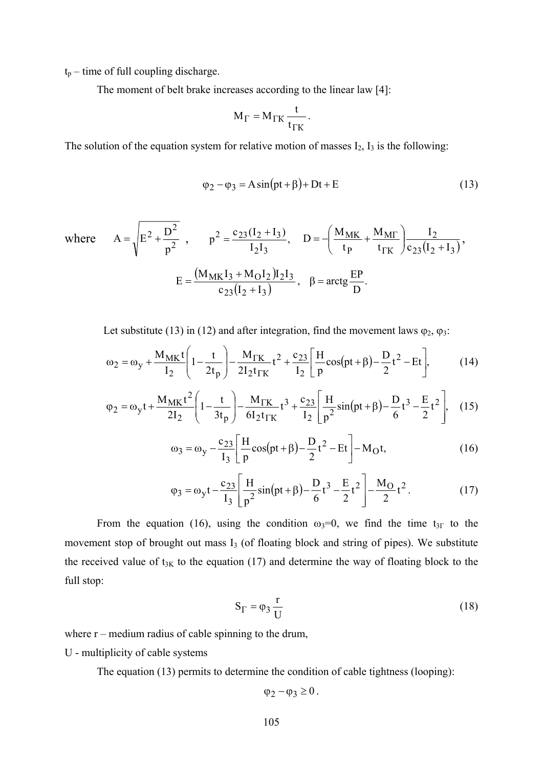$t_p$  – time of full coupling discharge.

The moment of belt brake increases according to the linear law [4]:

$$
M_{\Gamma} = M_{\Gamma K} \frac{t}{t_{\Gamma K}}.
$$

The solution of the equation system for relative motion of masses  $I_2$ ,  $I_3$  is the following:

$$
\varphi_2 - \varphi_3 = A \sin(pt + \beta) + Dt + E \tag{13}
$$

where 
$$
A = \sqrt{E^2 + \frac{D^2}{p^2}}
$$
,  $p^2 = \frac{c_{23}(I_2 + I_3)}{I_2 I_3}$ ,  $D = -\left(\frac{M_{MK}}{t_P} + \frac{M_{MT}}{t_{TK}}\right) \frac{I_2}{c_{23}(I_2 + I_3)}$ ,  
 $E = \frac{(M_{MK}I_3 + M_0I_2)I_2I_3}{c_{23}(I_2 + I_3)}$ ,  $\beta = \arctg \frac{EP}{D}$ .

Let substitute (13) in (12) and after integration, find the movement laws  $\varphi_2$ ,  $\varphi_3$ :

$$
\omega_2 = \omega_y + \frac{M_{MK}t}{I_2} \left( 1 - \frac{t}{2t_p} \right) - \frac{M_{TK}}{2I_2 t_{TK}} t^2 + \frac{c_{23}}{I_2} \left[ \frac{H}{p} \cos(pt + \beta) - \frac{D}{2} t^2 - Et \right],
$$
 (14)

$$
\varphi_2 = \omega_y t + \frac{M_{MK}t^2}{2I_2} \left( 1 - \frac{t}{3t_p} \right) - \frac{M_{TK}}{6I_2 t_{TK}} t^3 + \frac{c_{23}}{I_2} \left[ \frac{H}{p^2} \sin(pt + \beta) - \frac{D}{6} t^3 - \frac{E}{2} t^2 \right], \quad (15)
$$

$$
\omega_3 = \omega_y - \frac{c_{23}}{I_3} \left[ \frac{H}{p} \cos(pt + \beta) - \frac{D}{2} t^2 - Et \right] - M_O t, \tag{16}
$$

$$
\varphi_3 = \omega_y t - \frac{c_{23}}{I_3} \left[ \frac{H}{p^2} \sin(pt + \beta) - \frac{D}{6} t^3 - \frac{E}{2} t^2 \right] - \frac{M_O}{2} t^2.
$$
 (17)

From the equation (16), using the condition  $\omega_3=0$ , we find the time  $t_{3}$  to the movement stop of brought out mass I<sub>3</sub> (of floating block and string of pipes). We substitute the received value of  $t_{3K}$  to the equation (17) and determine the way of floating block to the full stop:

$$
S_{\Gamma} = \varphi_3 \frac{r}{U} \tag{18}
$$

where  $r$  – medium radius of cable spinning to the drum,

U - multiplicity of cable systems

The equation (13) permits to determine the condition of cable tightness (looping):

$$
\varphi_2 - \varphi_3 \geq 0.
$$